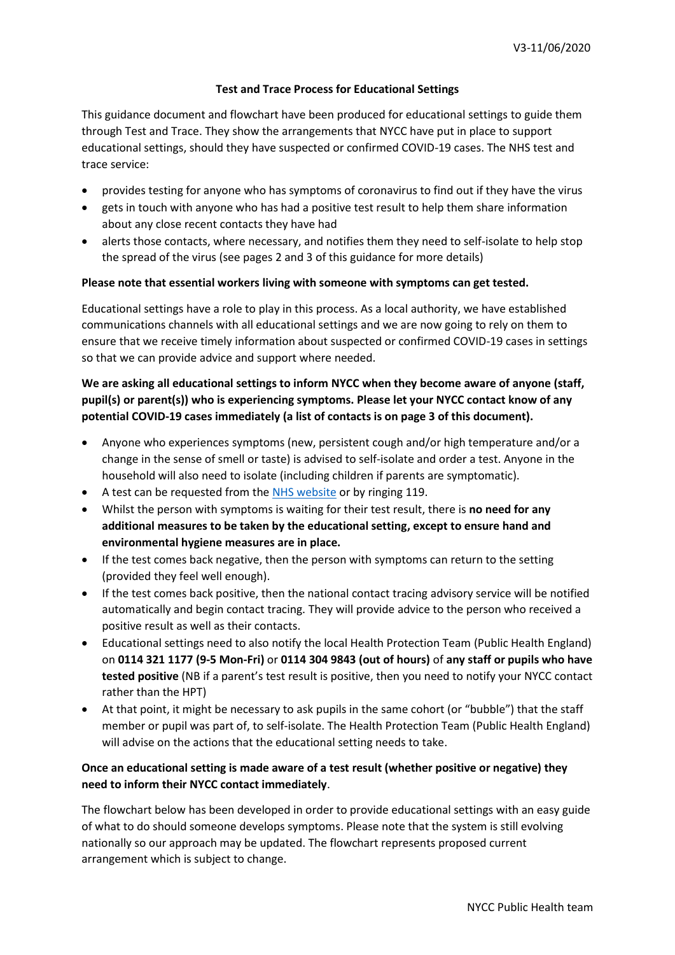### **Test and Trace Process for Educational Settings**

This guidance document and flowchart have been produced for educational settings to guide them through Test and Trace. They show the arrangements that NYCC have put in place to support educational settings, should they have suspected or confirmed COVID-19 cases. The NHS test and trace service:

- provides testing for anyone who has symptoms of coronavirus to find out if they have the virus
- gets in touch with anyone who has had a positive test result to help them share information about any close recent contacts they have had
- alerts those contacts, where necessary, and notifies them they need to self-isolate to help stop the spread of the virus (see pages 2 and 3 of this guidance for more details)

#### **Please note that essential workers living with someone with symptoms can get tested.**

Educational settings have a role to play in this process. As a local authority, we have established communications channels with all educational settings and we are now going to rely on them to ensure that we receive timely information about suspected or confirmed COVID-19 cases in settings so that we can provide advice and support where needed.

# **We are asking all educational settings to inform NYCC when they become aware of anyone (staff, pupil(s) or parent(s)) who is experiencing symptoms. Please let your NYCC contact know of any potential COVID-19 cases immediately (a list of contacts is on page 3 of this document).**

- Anyone who experiences symptoms (new, persistent cough and/or high temperature and/or a change in the sense of smell or taste) is advised to self-isolate and order a test. Anyone in the household will also need to isolate (including children if parents are symptomatic).
- A test can be requested from the [NHS website](https://www.nhs.uk/conditions/coronavirus-covid-19/testing-and-tracing/ask-for-a-test-to-check-if-you-have-coronavirus/) or by ringing 119.
- Whilst the person with symptoms is waiting for their test result, there is **no need for any additional measures to be taken by the educational setting, except to ensure hand and environmental hygiene measures are in place.**
- If the test comes back negative, then the person with symptoms can return to the setting (provided they feel well enough).
- If the test comes back positive, then the national contact tracing advisory service will be notified automatically and begin contact tracing. They will provide advice to the person who received a positive result as well as their contacts.
- Educational settings need to also notify the local Health Protection Team (Public Health England) on **0114 321 1177 (9-5 Mon-Fri)** or **0114 304 9843 (out of hours)** of **any staff or pupils who have tested positive** (NB if a parent's test result is positive, then you need to notify your NYCC contact rather than the HPT)
- At that point, it might be necessary to ask pupils in the same cohort (or "bubble") that the staff member or pupil was part of, to self-isolate. The Health Protection Team (Public Health England) will advise on the actions that the educational setting needs to take.

## **Once an educational setting is made aware of a test result (whether positive or negative) they need to inform their NYCC contact immediately**.

The flowchart below has been developed in order to provide educational settings with an easy guide of what to do should someone develops symptoms. Please note that the system is still evolving nationally so our approach may be updated. The flowchart represents proposed current arrangement which is subject to change.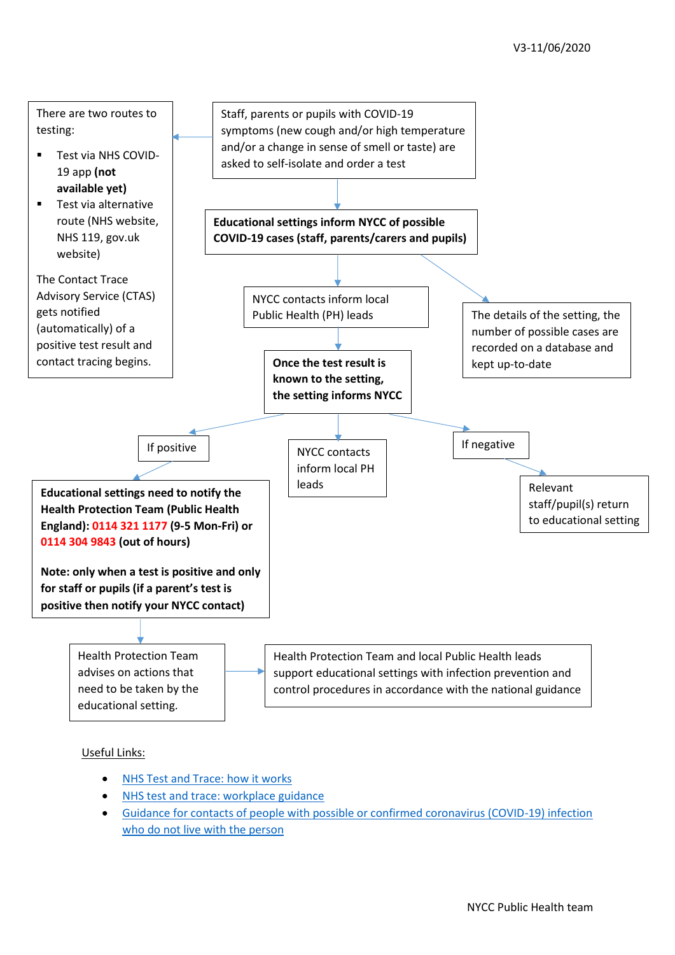

## Useful Links:

- [NHS Test and Trace: how it works](https://www.gov.uk/guidance/nhs-test-and-trace-how-it-works)
- [NHS test and trace: workplace guidance](https://www.gov.uk/guidance/nhs-test-and-trace-workplace-guidance?utm_source=3ad1e505-7776-4963-b366-f718239cf904&utm_medium=email&utm_campaign=govuk-notifications&utm_content=immediate#contact-tracing-contact-with-co-workers)
- [Guidance for contacts of people with possible or confirmed coronavirus \(COVID-19\) infection](https://www.gov.uk/government/publications/guidance-for-contacts-of-people-with-possible-or-confirmed-coronavirus-covid-19-infection-who-do-not-live-with-the-person/guidance-for-contacts-of-people-with-possible-or-confirmed-coronavirus-covid-19-infection-who-do-not-live-with-the-person#do-the-people-i-live-with-also-need-to-self-isolate-at-home-with-me-for-14-days)  [who do not live with the person](https://www.gov.uk/government/publications/guidance-for-contacts-of-people-with-possible-or-confirmed-coronavirus-covid-19-infection-who-do-not-live-with-the-person/guidance-for-contacts-of-people-with-possible-or-confirmed-coronavirus-covid-19-infection-who-do-not-live-with-the-person#do-the-people-i-live-with-also-need-to-self-isolate-at-home-with-me-for-14-days)